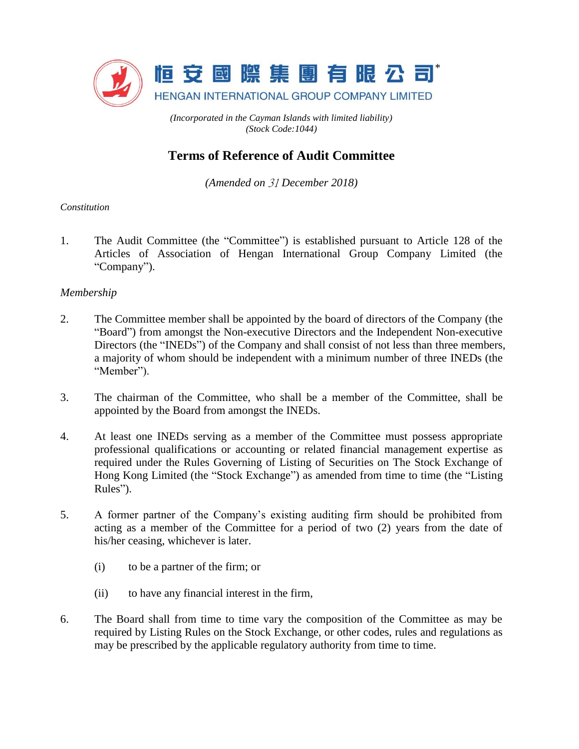

*(Incorporated in the Cayman Islands with limited liability) (Stock Code:1044)*

# **Terms of Reference of Audit Committee**

*(Amended on* 31 *December 2018)*

## *Constitution*

1. The Audit Committee (the "Committee") is established pursuant to Article 128 of the Articles of Association of Hengan International Group Company Limited (the "Company").

## *Membership*

- 2. The Committee member shall be appointed by the board of directors of the Company (the "Board") from amongst the Non-executive Directors and the Independent Non-executive Directors (the "INEDs") of the Company and shall consist of not less than three members, a majority of whom should be independent with a minimum number of three INEDs (the "Member").
- 3. The chairman of the Committee, who shall be a member of the Committee, shall be appointed by the Board from amongst the INEDs.
- 4. At least one INEDs serving as a member of the Committee must possess appropriate professional qualifications or accounting or related financial management expertise as required under the Rules Governing of Listing of Securities on The Stock Exchange of Hong Kong Limited (the "Stock Exchange") as amended from time to time (the "Listing Rules").
- 5. A former partner of the Company's existing auditing firm should be prohibited from acting as a member of the Committee for a period of two (2) years from the date of his/her ceasing, whichever is later.
	- (i) to be a partner of the firm; or
	- (ii) to have any financial interest in the firm,
- 6. The Board shall from time to time vary the composition of the Committee as may be required by Listing Rules on the Stock Exchange, or other codes, rules and regulations as may be prescribed by the applicable regulatory authority from time to time.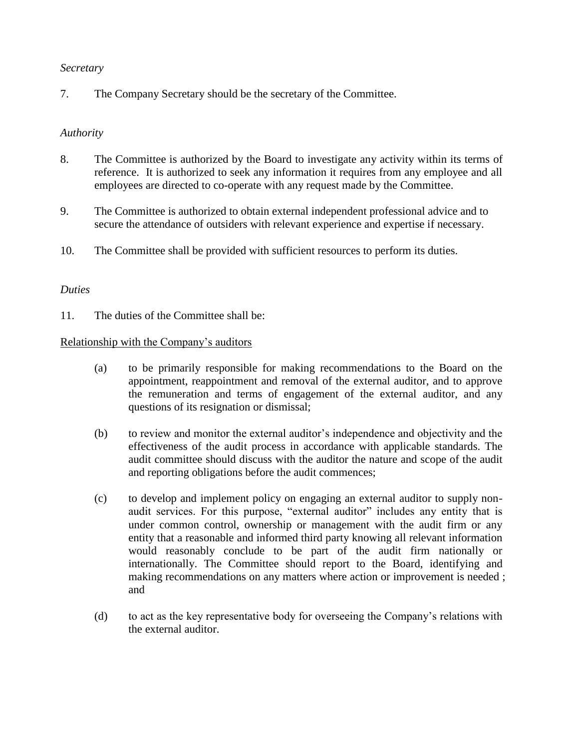## *Secretary*

7. The Company Secretary should be the secretary of the Committee.

#### *Authority*

- 8. The Committee is authorized by the Board to investigate any activity within its terms of reference. It is authorized to seek any information it requires from any employee and all employees are directed to co-operate with any request made by the Committee.
- 9. The Committee is authorized to obtain external independent professional advice and to secure the attendance of outsiders with relevant experience and expertise if necessary.
- 10. The Committee shall be provided with sufficient resources to perform its duties.

## *Duties*

11. The duties of the Committee shall be:

#### Relationship with the Company's auditors

- (a) to be primarily responsible for making recommendations to the Board on the appointment, reappointment and removal of the external auditor, and to approve the remuneration and terms of engagement of the external auditor, and any questions of its resignation or dismissal;
- (b) to review and monitor the external auditor's independence and objectivity and the effectiveness of the audit process in accordance with applicable standards. The audit committee should discuss with the auditor the nature and scope of the audit and reporting obligations before the audit commences;
- (c) to develop and implement policy on engaging an external auditor to supply nonaudit services. For this purpose, "external auditor" includes any entity that is under common control, ownership or management with the audit firm or any entity that a reasonable and informed third party knowing all relevant information would reasonably conclude to be part of the audit firm nationally or internationally. The Committee should report to the Board, identifying and making recommendations on any matters where action or improvement is needed ; and
- (d) to act as the key representative body for overseeing the Company's relations with the external auditor.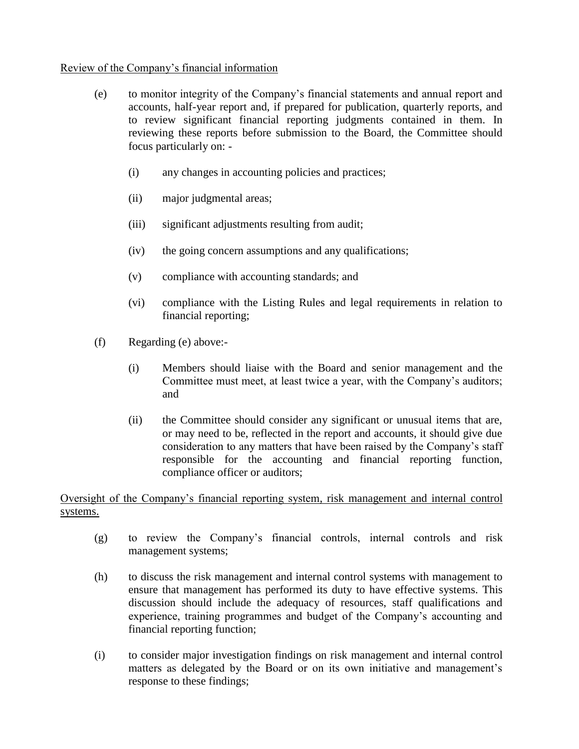# Review of the Company's financial information

- (e) to monitor integrity of the Company's financial statements and annual report and accounts, half-year report and, if prepared for publication, quarterly reports, and to review significant financial reporting judgments contained in them. In reviewing these reports before submission to the Board, the Committee should focus particularly on: -
	- (i) any changes in accounting policies and practices;
	- (ii) major judgmental areas;
	- (iii) significant adjustments resulting from audit;
	- (iv) the going concern assumptions and any qualifications;
	- (v) compliance with accounting standards; and
	- (vi) compliance with the Listing Rules and legal requirements in relation to financial reporting;
- (f) Regarding (e) above:-
	- (i) Members should liaise with the Board and senior management and the Committee must meet, at least twice a year, with the Company's auditors; and
	- (ii) the Committee should consider any significant or unusual items that are, or may need to be, reflected in the report and accounts, it should give due consideration to any matters that have been raised by the Company's staff responsible for the accounting and financial reporting function, compliance officer or auditors;

# Oversight of the Company's financial reporting system, risk management and internal control systems.

- (g) to review the Company's financial controls, internal controls and risk management systems;
- (h) to discuss the risk management and internal control systems with management to ensure that management has performed its duty to have effective systems. This discussion should include the adequacy of resources, staff qualifications and experience, training programmes and budget of the Company's accounting and financial reporting function;
- (i) to consider major investigation findings on risk management and internal control matters as delegated by the Board or on its own initiative and management's response to these findings;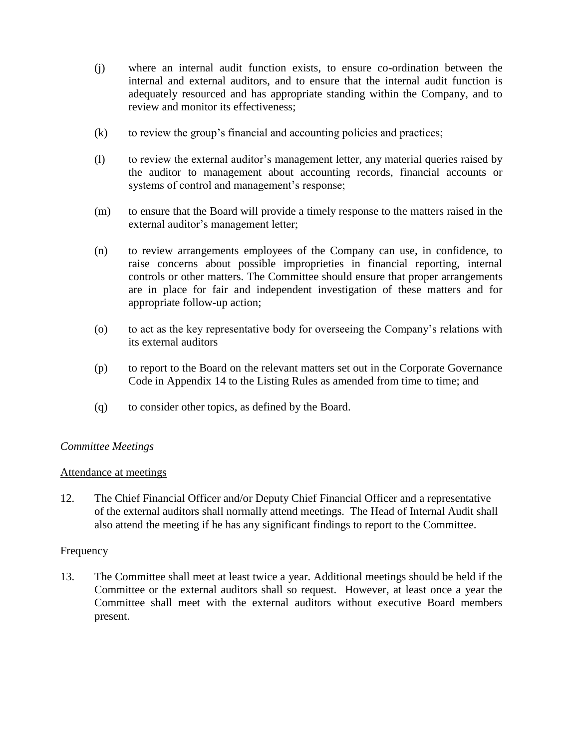- (j) where an internal audit function exists, to ensure co-ordination between the internal and external auditors, and to ensure that the internal audit function is adequately resourced and has appropriate standing within the Company, and to review and monitor its effectiveness;
- (k) to review the group's financial and accounting policies and practices;
- (l) to review the external auditor's management letter, any material queries raised by the auditor to management about accounting records, financial accounts or systems of control and management's response;
- (m) to ensure that the Board will provide a timely response to the matters raised in the external auditor's management letter;
- (n) to review arrangements employees of the Company can use, in confidence, to raise concerns about possible improprieties in financial reporting, internal controls or other matters. The Committee should ensure that proper arrangements are in place for fair and independent investigation of these matters and for appropriate follow-up action;
- (o) to act as the key representative body for overseeing the Company's relations with its external auditors
- (p) to report to the Board on the relevant matters set out in the Corporate Governance Code in Appendix 14 to the Listing Rules as amended from time to time; and
- (q) to consider other topics, as defined by the Board.

## *Committee Meetings*

## Attendance at meetings

12. The Chief Financial Officer and/or Deputy Chief Financial Officer and a representative of the external auditors shall normally attend meetings. The Head of Internal Audit shall also attend the meeting if he has any significant findings to report to the Committee.

## **Frequency**

13. The Committee shall meet at least twice a year. Additional meetings should be held if the Committee or the external auditors shall so request. However, at least once a year the Committee shall meet with the external auditors without executive Board members present.